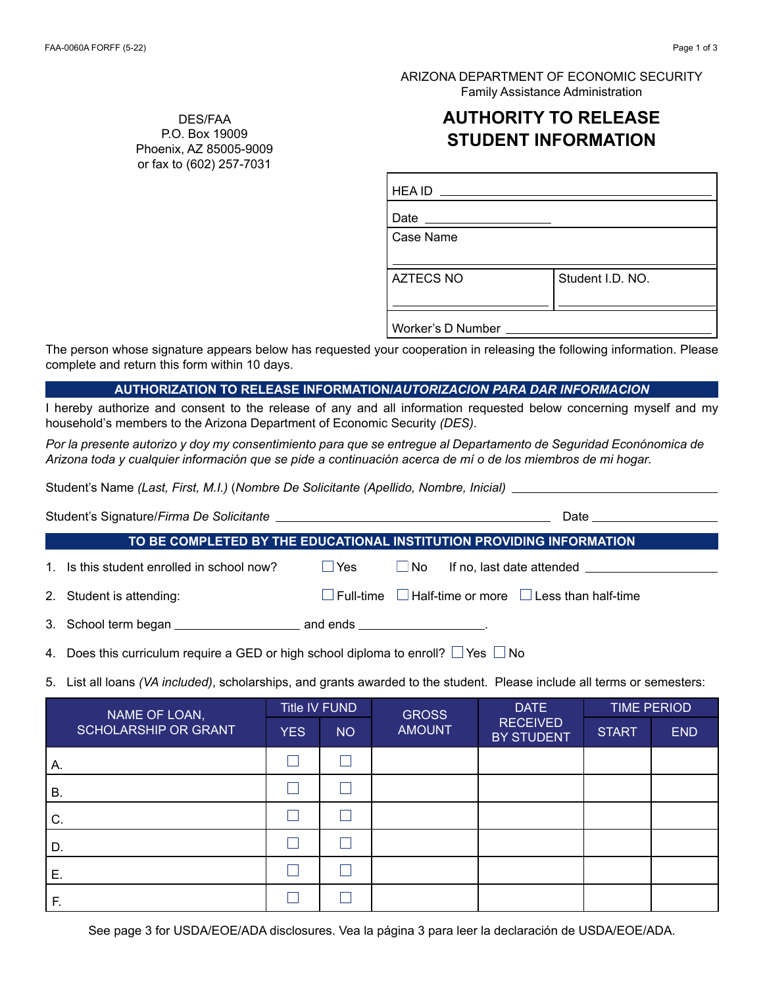ARIZONA DEPARTMENT OF ECONOMIC SECURITY Family Assistance Administration

## **AUTHORITY TO RELEASE STUDENT INFORMATION**

| <b>HEA ID</b><br><u> Alban Alban Alban A</u>          |                  |  |  |  |  |
|-------------------------------------------------------|------------------|--|--|--|--|
| Date $\frac{1}{\sqrt{1-\frac{1}{2}}\cdot\frac{1}{2}}$ |                  |  |  |  |  |
| Case Name                                             |                  |  |  |  |  |
|                                                       |                  |  |  |  |  |
| <b>AZTECS NO</b>                                      | Student I.D. NO. |  |  |  |  |
|                                                       |                  |  |  |  |  |
| Worker's D Number _____                               |                  |  |  |  |  |

The person whose signature appears below has requested your cooperation in releasing the following information. Please complete and return this form within 10 days.

## **AUTHORIZATION TO RELEASE INFORMATION/***AUTORIZACION PARA DAR INFORMACION*

I hereby authorize and consent to the release of any and all information requested below concerning myself and my household's members to the Arizona Department of Economic Security *(DES)*.

*Por la presente autorizo y doy my consentimiento para que se entregue al Departamento de Seguridad Econónomica de Arizona toda y cualquier información que se pide a continuación acerca de mí o de los miembros de mi hogar.*

Student's Name *(Last, First, M.I.)* (*Nombre De Solicitante (Apellido, Nombre, Inicial)*

| TO BE COMPLETED BY THE EDUCATIONAL INSTITUTION PROVIDING INFORMATION |                                                                                              |  |                                                                      |  |  |  |  |  |  |
|----------------------------------------------------------------------|----------------------------------------------------------------------------------------------|--|----------------------------------------------------------------------|--|--|--|--|--|--|
|                                                                      | 1. Is this student enrolled in school now?                                                   |  | $\Box$ Yes $\Box$ No If no, last date attended $\Box$                |  |  |  |  |  |  |
|                                                                      | 2. Student is attending:                                                                     |  | $\Box$ Full-time $\Box$ Half-time or more $\Box$ Less than half-time |  |  |  |  |  |  |
|                                                                      |                                                                                              |  |                                                                      |  |  |  |  |  |  |
|                                                                      | 4. Does this curriculum require a GED or high school diploma to enroll? $\Box$ Yes $\Box$ No |  |                                                                      |  |  |  |  |  |  |

5. List all loans *(VA included)*, scholarships, and grants awarded to the student. Please include all terms or semesters:

| NAME OF LOAN,        | Title IV FUND   |           | <b>GROSS</b>  | <b>DATE</b>                   | <b>TIME PERIOD</b> |            |
|----------------------|-----------------|-----------|---------------|-------------------------------|--------------------|------------|
| SCHOLARSHIP OR GRANT | YES <sup></sup> | <b>NO</b> | <b>AMOUNT</b> | <b>RECEIVED</b><br>BY STUDENT | <b>START</b>       | <b>END</b> |
| А.                   |                 |           |               |                               |                    |            |
| В.                   |                 |           |               |                               |                    |            |
| C.                   |                 |           |               |                               |                    |            |
| D.                   |                 |           |               |                               |                    |            |
| Е.                   |                 |           |               |                               |                    |            |
| F.                   |                 |           |               |                               |                    |            |

DES/FAA P.O. Box 19009 Phoenix, AZ 85005-9009 or fax to (602) 257-7031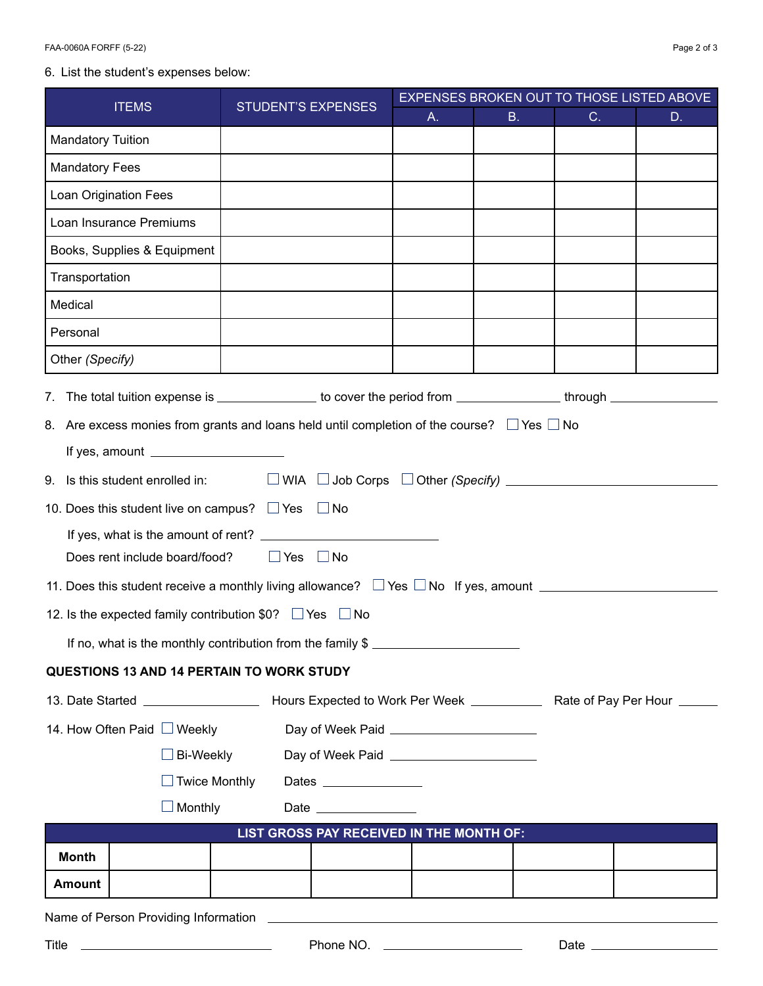## 6. List the student's expenses below:

| <b>ITEMS</b>                                                                                                           | <b>STUDENT'S EXPENSES</b>                             | EXPENSES BROKEN OUT TO THOSE LISTED ABOVE |           |                 |    |  |  |  |
|------------------------------------------------------------------------------------------------------------------------|-------------------------------------------------------|-------------------------------------------|-----------|-----------------|----|--|--|--|
|                                                                                                                        |                                                       | A.                                        | <b>B.</b> | C.              | D. |  |  |  |
| <b>Mandatory Tuition</b>                                                                                               |                                                       |                                           |           |                 |    |  |  |  |
| <b>Mandatory Fees</b>                                                                                                  |                                                       |                                           |           |                 |    |  |  |  |
| Loan Origination Fees                                                                                                  |                                                       |                                           |           |                 |    |  |  |  |
| Loan Insurance Premiums                                                                                                |                                                       |                                           |           |                 |    |  |  |  |
| Books, Supplies & Equipment                                                                                            |                                                       |                                           |           |                 |    |  |  |  |
| Transportation                                                                                                         |                                                       |                                           |           |                 |    |  |  |  |
| Medical                                                                                                                |                                                       |                                           |           |                 |    |  |  |  |
| Personal                                                                                                               |                                                       |                                           |           |                 |    |  |  |  |
| Other (Specify)                                                                                                        |                                                       |                                           |           |                 |    |  |  |  |
| 7. The total tuition expense is _______________ to cover the period from ______________through _________               |                                                       |                                           |           |                 |    |  |  |  |
| 8. Are excess monies from grants and loans held until completion of the course? $\Box$ Yes $\Box$ No                   |                                                       |                                           |           |                 |    |  |  |  |
|                                                                                                                        | If yes, amount $\frac{1}{2}$                          |                                           |           |                 |    |  |  |  |
|                                                                                                                        |                                                       |                                           |           |                 |    |  |  |  |
| 10. Does this student live on campus? $\Box$ Yes $\Box$ No                                                             |                                                       |                                           |           |                 |    |  |  |  |
|                                                                                                                        |                                                       |                                           |           |                 |    |  |  |  |
|                                                                                                                        | $\Box$ Yes $\Box$ No<br>Does rent include board/food? |                                           |           |                 |    |  |  |  |
| 11. Does this student receive a monthly living allowance? $\Box$ Yes $\Box$ No If yes, amount $\Box$                   |                                                       |                                           |           |                 |    |  |  |  |
| 12. Is the expected family contribution \$0? $\Box$ Yes $\Box$ No                                                      |                                                       |                                           |           |                 |    |  |  |  |
| If no, what is the monthly contribution from the family \$                                                             |                                                       |                                           |           |                 |    |  |  |  |
| <b>QUESTIONS 13 AND 14 PERTAIN TO WORK STUDY</b>                                                                       |                                                       |                                           |           |                 |    |  |  |  |
| 13. Date Started _________________________ Hours Expected to Work Per Week _______________ Rate of Pay Per Hour ______ |                                                       |                                           |           |                 |    |  |  |  |
| 14. How Often Paid ■ Weekly<br>Day of Week Paid ________________________                                               |                                                       |                                           |           |                 |    |  |  |  |
| <b>Bi-Weekly</b>                                                                                                       | Day of Week Paid ________________________             |                                           |           |                 |    |  |  |  |
| $\Box$ Twice Monthly                                                                                                   | Dates ______________                                  |                                           |           |                 |    |  |  |  |
| Monthly                                                                                                                | Date _______________                                  |                                           |           |                 |    |  |  |  |
| LIST GROSS PAY RECEIVED IN THE MONTH OF:                                                                               |                                                       |                                           |           |                 |    |  |  |  |
| <b>Month</b>                                                                                                           |                                                       |                                           |           |                 |    |  |  |  |
| Amount                                                                                                                 |                                                       |                                           |           |                 |    |  |  |  |
| Name of Person Providing Information                                                                                   |                                                       |                                           |           |                 |    |  |  |  |
| Title                                                                                                                  |                                                       |                                           |           | Date __________ |    |  |  |  |